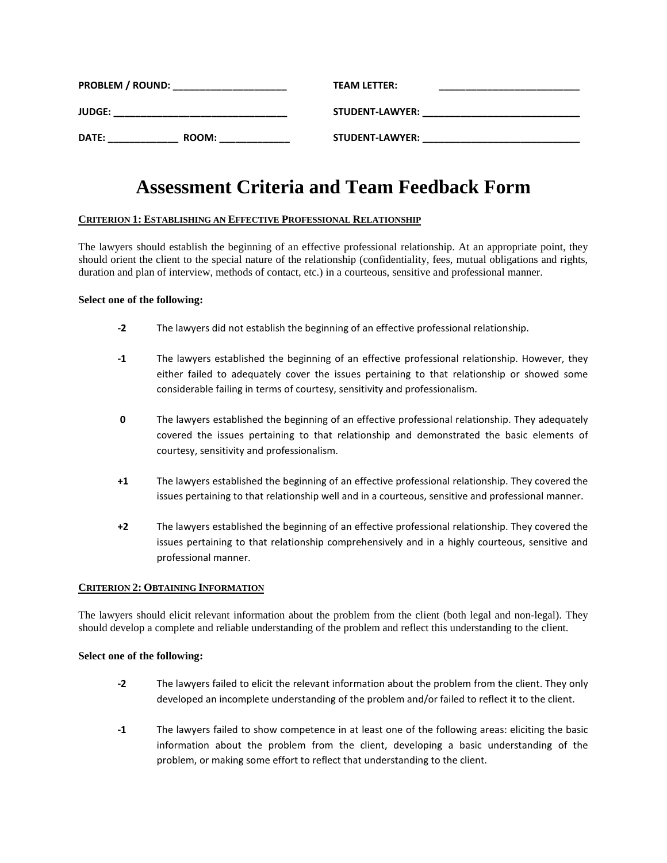| <b>PROBLEM / ROUND:</b> |       | <b>TEAM LETTER:</b>    |  |
|-------------------------|-------|------------------------|--|
| <b>JUDGE:</b>           |       | <b>STUDENT-LAWYER:</b> |  |
| DATE:                   | ROOM: | <b>STUDENT-LAWYER:</b> |  |

# **Assessment Criteria and Team Feedback Form**

# **CRITERION 1: ESTABLISHING AN EFFECTIVE PROFESSIONAL RELATIONSHIP**

The lawyers should establish the beginning of an effective professional relationship. At an appropriate point, they should orient the client to the special nature of the relationship (confidentiality, fees, mutual obligations and rights, duration and plan of interview, methods of contact, etc.) in a courteous, sensitive and professional manner.

## **Select one of the following:**

- **-2** The lawyers did not establish the beginning of an effective professional relationship.
- **-1** The lawyers established the beginning of an effective professional relationship. However, they either failed to adequately cover the issues pertaining to that relationship or showed some considerable failing in terms of courtesy, sensitivity and professionalism.
- **0** The lawyers established the beginning of an effective professional relationship. They adequately covered the issues pertaining to that relationship and demonstrated the basic elements of courtesy, sensitivity and professionalism.
- **+1** The lawyers established the beginning of an effective professional relationship. They covered the issues pertaining to that relationship well and in a courteous, sensitive and professional manner.
- **+2** The lawyers established the beginning of an effective professional relationship. They covered the issues pertaining to that relationship comprehensively and in a highly courteous, sensitive and professional manner.

## **CRITERION 2: OBTAINING INFORMATION**

The lawyers should elicit relevant information about the problem from the client (both legal and non-legal). They should develop a complete and reliable understanding of the problem and reflect this understanding to the client.

## **Select one of the following:**

- **-2** The lawyers failed to elicit the relevant information about the problem from the client. They only developed an incomplete understanding of the problem and/or failed to reflect it to the client.
- **-1** The lawyers failed to show competence in at least one of the following areas: eliciting the basic information about the problem from the client, developing a basic understanding of the problem, or making some effort to reflect that understanding to the client.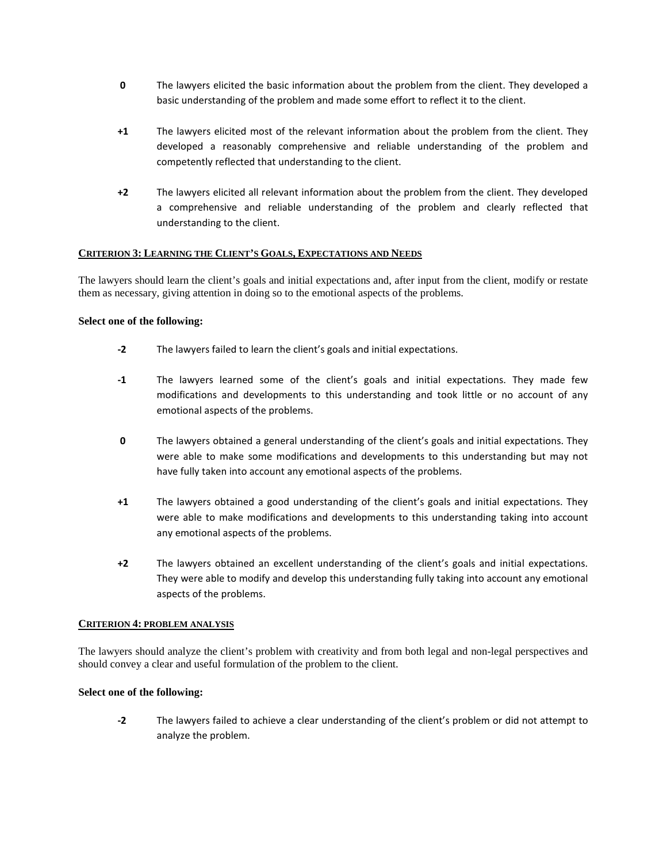- **0** The lawyers elicited the basic information about the problem from the client. They developed a basic understanding of the problem and made some effort to reflect it to the client.
- **+1** The lawyers elicited most of the relevant information about the problem from the client. They developed a reasonably comprehensive and reliable understanding of the problem and competently reflected that understanding to the client.
- **+2** The lawyers elicited all relevant information about the problem from the client. They developed a comprehensive and reliable understanding of the problem and clearly reflected that understanding to the client.

## **CRITERION 3: LEARNING THE CLIENT'S GOALS, EXPECTATIONS AND NEEDS**

The lawyers should learn the client's goals and initial expectations and, after input from the client, modify or restate them as necessary, giving attention in doing so to the emotional aspects of the problems.

## **Select one of the following:**

- **-2** The lawyers failed to learn the client's goals and initial expectations.
- **-1** The lawyers learned some of the client's goals and initial expectations. They made few modifications and developments to this understanding and took little or no account of any emotional aspects of the problems.
- **0** The lawyers obtained a general understanding of the client's goals and initial expectations. They were able to make some modifications and developments to this understanding but may not have fully taken into account any emotional aspects of the problems.
- **+1** The lawyers obtained a good understanding of the client's goals and initial expectations. They were able to make modifications and developments to this understanding taking into account any emotional aspects of the problems.
- **+2** The lawyers obtained an excellent understanding of the client's goals and initial expectations. They were able to modify and develop this understanding fully taking into account any emotional aspects of the problems.

## **CRITERION 4: PROBLEM ANALYSIS**

The lawyers should analyze the client's problem with creativity and from both legal and non-legal perspectives and should convey a clear and useful formulation of the problem to the client.

## **Select one of the following:**

**-2** The lawyers failed to achieve a clear understanding of the client's problem or did not attempt to analyze the problem.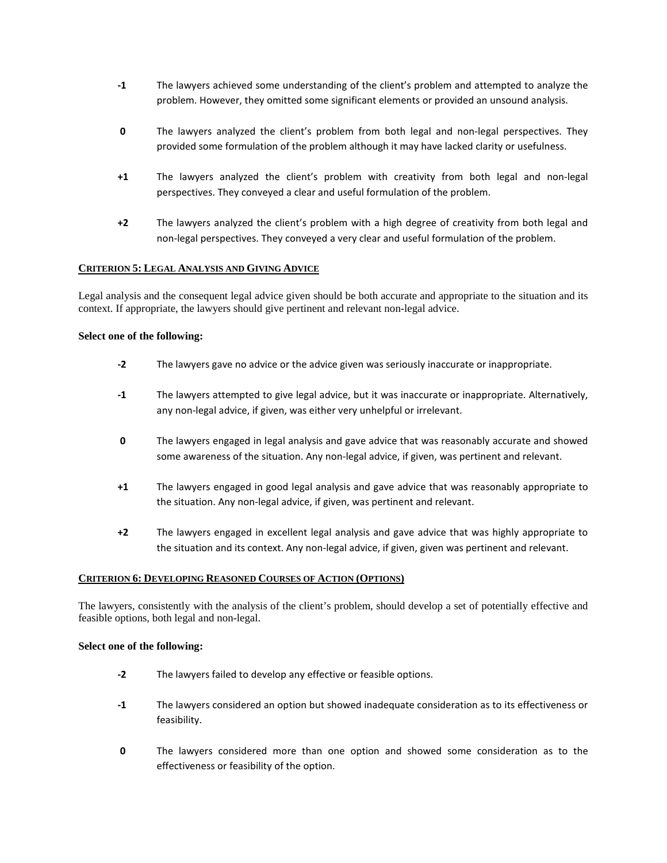- **-1** The lawyers achieved some understanding of the client's problem and attempted to analyze the problem. However, they omitted some significant elements or provided an unsound analysis.
- **0** The lawyers analyzed the client's problem from both legal and non-legal perspectives. They provided some formulation of the problem although it may have lacked clarity or usefulness.
- **+1** The lawyers analyzed the client's problem with creativity from both legal and non-legal perspectives. They conveyed a clear and useful formulation of the problem.
- **+2** The lawyers analyzed the client's problem with a high degree of creativity from both legal and non-legal perspectives. They conveyed a very clear and useful formulation of the problem.

# **CRITERION 5: LEGAL ANALYSIS AND GIVING ADVICE**

Legal analysis and the consequent legal advice given should be both accurate and appropriate to the situation and its context. If appropriate, the lawyers should give pertinent and relevant non-legal advice.

## **Select one of the following:**

- **-2** The lawyers gave no advice or the advice given was seriously inaccurate or inappropriate.
- **-1** The lawyers attempted to give legal advice, but it was inaccurate or inappropriate. Alternatively, any non-legal advice, if given, was either very unhelpful or irrelevant.
- **0** The lawyers engaged in legal analysis and gave advice that was reasonably accurate and showed some awareness of the situation. Any non-legal advice, if given, was pertinent and relevant.
- **+1** The lawyers engaged in good legal analysis and gave advice that was reasonably appropriate to the situation. Any non-legal advice, if given, was pertinent and relevant.
- **+2** The lawyers engaged in excellent legal analysis and gave advice that was highly appropriate to the situation and its context. Any non-legal advice, if given, given was pertinent and relevant.

## **CRITERION 6: DEVELOPING REASONED COURSES OF ACTION (OPTIONS)**

The lawyers, consistently with the analysis of the client's problem, should develop a set of potentially effective and feasible options, both legal and non-legal.

## **Select one of the following:**

- **-2** The lawyers failed to develop any effective or feasible options.
- **-1** The lawyers considered an option but showed inadequate consideration as to its effectiveness or feasibility.
- **0** The lawyers considered more than one option and showed some consideration as to the effectiveness or feasibility of the option.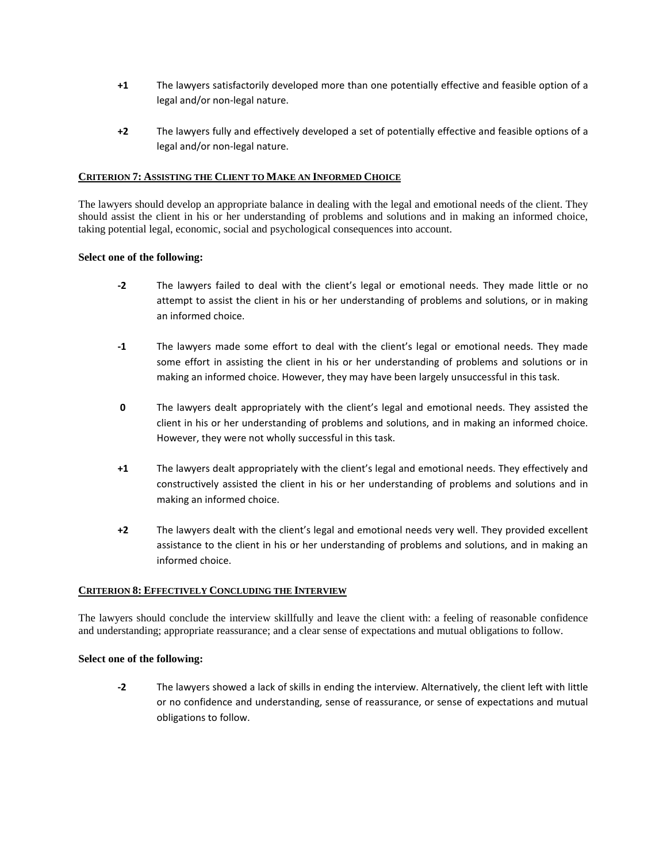- **+1** The lawyers satisfactorily developed more than one potentially effective and feasible option of a legal and/or non-legal nature.
- **+2** The lawyers fully and effectively developed a set of potentially effective and feasible options of a legal and/or non-legal nature.

## **CRITERION 7: ASSISTING THE CLIENT TO MAKE AN INFORMED CHOICE**

The lawyers should develop an appropriate balance in dealing with the legal and emotional needs of the client. They should assist the client in his or her understanding of problems and solutions and in making an informed choice, taking potential legal, economic, social and psychological consequences into account.

## **Select one of the following:**

- **-2** The lawyers failed to deal with the client's legal or emotional needs. They made little or no attempt to assist the client in his or her understanding of problems and solutions, or in making an informed choice.
- **-1** The lawyers made some effort to deal with the client's legal or emotional needs. They made some effort in assisting the client in his or her understanding of problems and solutions or in making an informed choice. However, they may have been largely unsuccessful in this task.
- **0** The lawyers dealt appropriately with the client's legal and emotional needs. They assisted the client in his or her understanding of problems and solutions, and in making an informed choice. However, they were not wholly successful in this task.
- **+1** The lawyers dealt appropriately with the client's legal and emotional needs. They effectively and constructively assisted the client in his or her understanding of problems and solutions and in making an informed choice.
- **+2** The lawyers dealt with the client's legal and emotional needs very well. They provided excellent assistance to the client in his or her understanding of problems and solutions, and in making an informed choice.

## **CRITERION 8: EFFECTIVELY CONCLUDING THE INTERVIEW**

The lawyers should conclude the interview skillfully and leave the client with: a feeling of reasonable confidence and understanding; appropriate reassurance; and a clear sense of expectations and mutual obligations to follow.

## **Select one of the following:**

**-2** The lawyers showed a lack of skills in ending the interview. Alternatively, the client left with little or no confidence and understanding, sense of reassurance, or sense of expectations and mutual obligations to follow.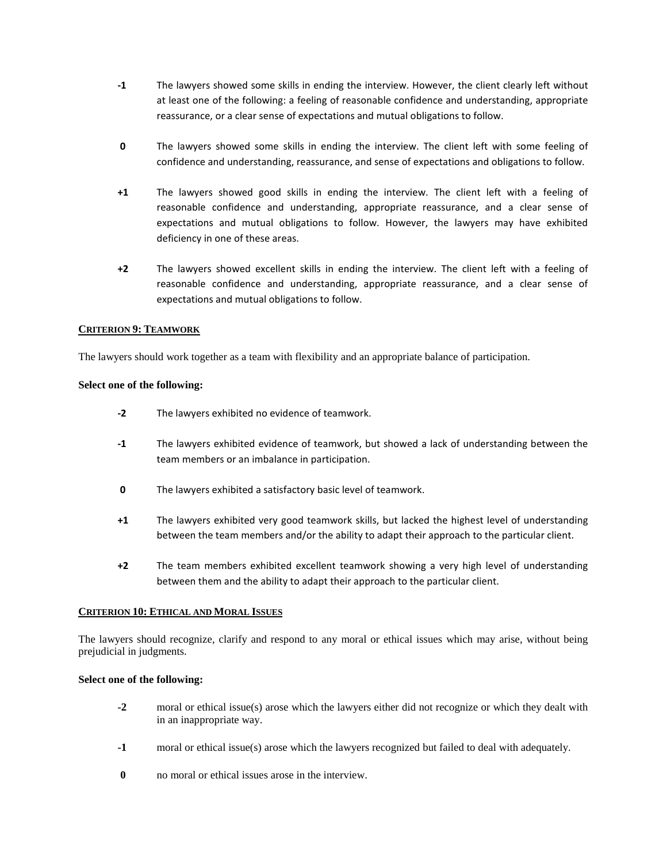- **-1** The lawyers showed some skills in ending the interview. However, the client clearly left without at least one of the following: a feeling of reasonable confidence and understanding, appropriate reassurance, or a clear sense of expectations and mutual obligations to follow.
- **0** The lawyers showed some skills in ending the interview. The client left with some feeling of confidence and understanding, reassurance, and sense of expectations and obligations to follow.
- **+1** The lawyers showed good skills in ending the interview. The client left with a feeling of reasonable confidence and understanding, appropriate reassurance, and a clear sense of expectations and mutual obligations to follow. However, the lawyers may have exhibited deficiency in one of these areas.
- **+2** The lawyers showed excellent skills in ending the interview. The client left with a feeling of reasonable confidence and understanding, appropriate reassurance, and a clear sense of expectations and mutual obligations to follow.

# **CRITERION 9: TEAMWORK**

The lawyers should work together as a team with flexibility and an appropriate balance of participation.

# **Select one of the following:**

- **-2** The lawyers exhibited no evidence of teamwork.
- **-1** The lawyers exhibited evidence of teamwork, but showed a lack of understanding between the team members or an imbalance in participation.
- **0** The lawyers exhibited a satisfactory basic level of teamwork.
- **+1** The lawyers exhibited very good teamwork skills, but lacked the highest level of understanding between the team members and/or the ability to adapt their approach to the particular client.
- **+2** The team members exhibited excellent teamwork showing a very high level of understanding between them and the ability to adapt their approach to the particular client.

# **CRITERION 10: ETHICAL AND MORAL ISSUES**

The lawyers should recognize, clarify and respond to any moral or ethical issues which may arise, without being prejudicial in judgments.

# **Select one of the following:**

- **-2** moral or ethical issue(s) arose which the lawyers either did not recognize or which they dealt with in an inappropriate way.
- **-1** moral or ethical issue(s) arose which the lawyers recognized but failed to deal with adequately.
- **0** no moral or ethical issues arose in the interview.